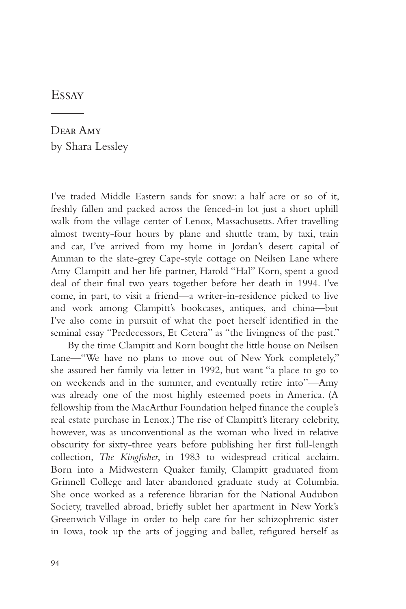## **Essay**

Dear Amy by Shara Lessley

I've traded Middle Eastern sands for snow: a half acre or so of it, freshly fallen and packed across the fenced-in lot just a short uphill walk from the village center of Lenox, Massachusetts. After travelling almost twenty-four hours by plane and shuttle tram, by taxi, train and car, I've arrived from my home in Jordan's desert capital of Amman to the slate-grey Cape-style cottage on Neilsen Lane where Amy Clampitt and her life partner, Harold "Hal" Korn, spent a good deal of their final two years together before her death in 1994. I've come, in part, to visit a friend—a writer-in-residence picked to live and work among Clampitt's bookcases, antiques, and china—but I've also come in pursuit of what the poet herself identified in the seminal essay "Predecessors, Et Cetera" as "the livingness of the past."

By the time Clampitt and Korn bought the little house on Neilsen Lane—"We have no plans to move out of New York completely," she assured her family via letter in 1992, but want "a place to go to on weekends and in the summer, and eventually retire into"—Amy was already one of the most highly esteemed poets in America. (A fellowship from the MacArthur Foundation helped finance the couple's real estate purchase in Lenox.) The rise of Clampitt's literary celebrity, however, was as unconventional as the woman who lived in relative obscurity for sixty-three years before publishing her first full-length collection, *The Kingfisher*, in 1983 to widespread critical acclaim. Born into a Midwestern Quaker family, Clampitt graduated from Grinnell College and later abandoned graduate study at Columbia. She once worked as a reference librarian for the National Audubon Society, travelled abroad, briefly sublet her apartment in New York's Greenwich Village in order to help care for her schizophrenic sister in Iowa, took up the arts of jogging and ballet, refigured herself as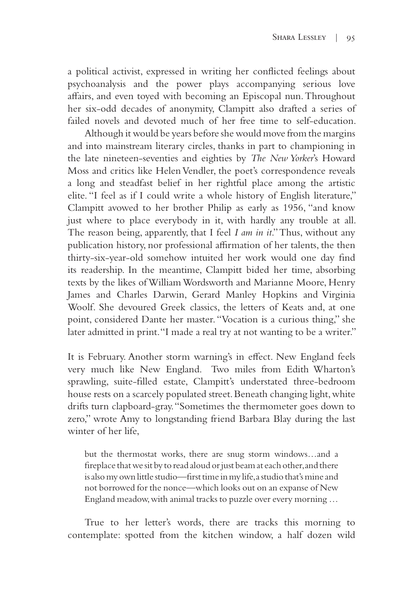a political activist, expressed in writing her conflicted feelings about psychoanalysis and the power plays accompanying serious love affairs, and even toyed with becoming an Episcopal nun. Throughout her six-odd decades of anonymity, Clampitt also drafted a series of failed novels and devoted much of her free time to self-education.

Although it would be years before she would move from the margins and into mainstream literary circles, thanks in part to championing in the late nineteen-seventies and eighties by *The New Yorker*'s Howard Moss and critics like Helen Vendler, the poet's correspondence reveals a long and steadfast belief in her rightful place among the artistic elite. "I feel as if I could write a whole history of English literature," Clampitt avowed to her brother Philip as early as 1956, "and know just where to place everybody in it, with hardly any trouble at all. The reason being, apparently, that I feel *I am in it*." Thus, without any publication history, nor professional affirmation of her talents, the then thirty-six-year-old somehow intuited her work would one day find its readership. In the meantime, Clampitt bided her time, absorbing texts by the likes of William Wordsworth and Marianne Moore, Henry James and Charles Darwin, Gerard Manley Hopkins and Virginia Woolf. She devoured Greek classics, the letters of Keats and, at one point, considered Dante her master. "Vocation is a curious thing," she later admitted in print. "I made a real try at not wanting to be a writer."

It is February. Another storm warning's in effect. New England feels very much like New England. Two miles from Edith Wharton's sprawling, suite-filled estate, Clampitt's understated three-bedroom house rests on a scarcely populated street. Beneath changing light, white drifts turn clapboard-gray. "Sometimes the thermometer goes down to zero," wrote Amy to longstanding friend Barbara Blay during the last winter of her life,

but the thermostat works, there are snug storm windows…and a fireplace that we sit by to read aloud or just beam at each other, and there is also my own little studio—first time in my life, a studio that's mine and not borrowed for the nonce—which looks out on an expanse of New England meadow, with animal tracks to puzzle over every morning …

True to her letter's words, there are tracks this morning to contemplate: spotted from the kitchen window, a half dozen wild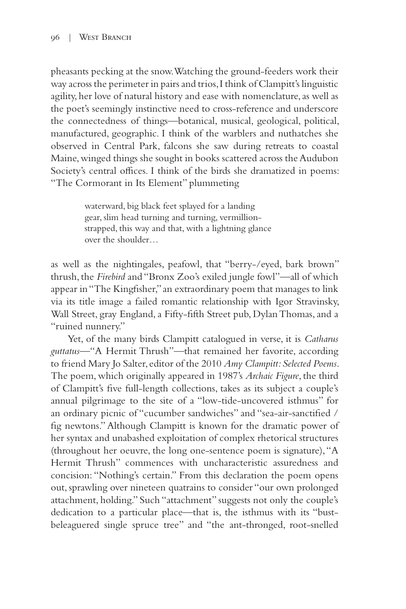pheasants pecking at the snow. Watching the ground-feeders work their way across the perimeter in pairs and trios, I think of Clampitt's linguistic agility, her love of natural history and ease with nomenclature, as well as the poet's seemingly instinctive need to cross-reference and underscore the connectedness of things—botanical, musical, geological, political, manufactured, geographic. I think of the warblers and nuthatches she observed in Central Park, falcons she saw during retreats to coastal Maine, winged things she sought in books scattered across the Audubon Society's central offices. I think of the birds she dramatized in poems: "The Cormorant in Its Element" plummeting

> waterward, big black feet splayed for a landing gear, slim head turning and turning, vermillionstrapped, this way and that, with a lightning glance over the shoulder…

as well as the nightingales, peafowl, that "berry-/eyed, bark brown" thrush, the *Firebird* and "Bronx Zoo's exiled jungle fowl"—all of which appear in "The Kingfisher," an extraordinary poem that manages to link via its title image a failed romantic relationship with Igor Stravinsky, Wall Street, gray England, a Fifty-fifth Street pub, Dylan Thomas, and a "ruined nunnery."

Yet, of the many birds Clampitt catalogued in verse, it is *Catharus guttatus—*"A Hermit Thrush"—that remained her favorite, according to friend Mary Jo Salter, editor of the 2010 *Amy Clampitt: Selected Poems*. The poem, which originally appeared in 1987's *Archaic Figure*, the third of Clampitt's five full-length collections, takes as its subject a couple's annual pilgrimage to the site of a "low-tide-uncovered isthmus" for an ordinary picnic of "cucumber sandwiches" and "sea-air-sanctified / fig newtons." Although Clampitt is known for the dramatic power of her syntax and unabashed exploitation of complex rhetorical structures (throughout her oeuvre, the long one-sentence poem is signature), "A Hermit Thrush" commences with uncharacteristic assuredness and concision: "Nothing's certain." From this declaration the poem opens out, sprawling over nineteen quatrains to consider "our own prolonged attachment, holding." Such "attachment" suggests not only the couple's dedication to a particular place—that is, the isthmus with its "bustbeleaguered single spruce tree" and "the ant-thronged, root-snelled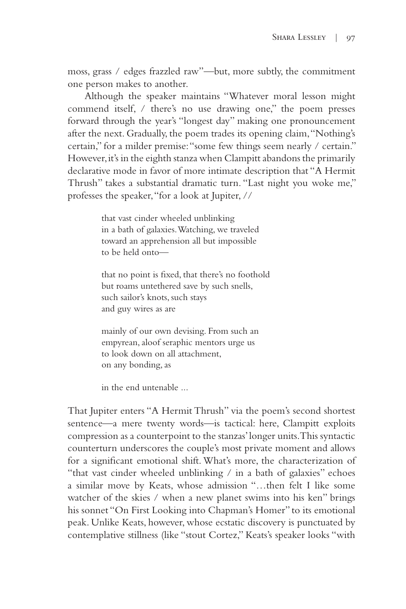moss, grass / edges frazzled raw"—but, more subtly, the commitment one person makes to another.

Although the speaker maintains "Whatever moral lesson might commend itself, / there's no use drawing one," the poem presses forward through the year's "longest day" making one pronouncement after the next. Gradually, the poem trades its opening claim, "Nothing's certain," for a milder premise: "some few things seem nearly / certain." However, it's in the eighth stanza when Clampitt abandons the primarily declarative mode in favor of more intimate description that "A Hermit Thrush" takes a substantial dramatic turn. "Last night you woke me," professes the speaker, "for a look at Jupiter, //

> that vast cinder wheeled unblinking in a bath of galaxies. Watching, we traveled toward an apprehension all but impossible to be held onto—

that no point is fixed, that there's no foothold but roams untethered save by such snells, such sailor's knots, such stays and guy wires as are

mainly of our own devising. From such an empyrean, aloof seraphic mentors urge us to look down on all attachment, on any bonding, as

in the end untenable ...

That Jupiter enters "A Hermit Thrush" via the poem's second shortest sentence—a mere twenty words—is tactical: here, Clampitt exploits compression as a counterpoint to the stanzas' longer units. This syntactic counterturn underscores the couple's most private moment and allows for a significant emotional shift. What's more, the characterization of "that vast cinder wheeled unblinking / in a bath of galaxies" echoes a similar move by Keats, whose admission "…then felt I like some watcher of the skies / when a new planet swims into his ken" brings his sonnet "On First Looking into Chapman's Homer" to its emotional peak. Unlike Keats, however, whose ecstatic discovery is punctuated by contemplative stillness (like "stout Cortez," Keats's speaker looks "with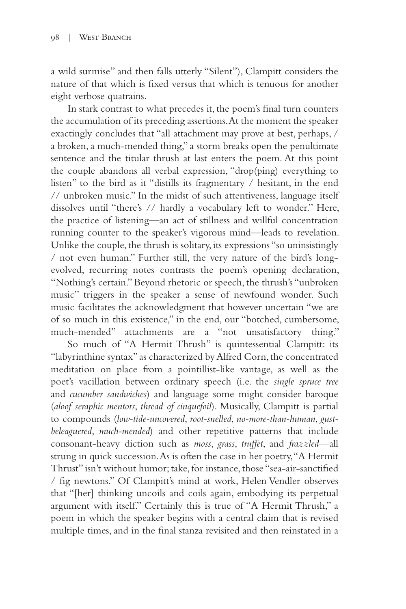a wild surmise" and then falls utterly "Silent"), Clampitt considers the nature of that which is fixed versus that which is tenuous for another eight verbose quatrains.

In stark contrast to what precedes it, the poem's final turn counters the accumulation of its preceding assertions. At the moment the speaker exactingly concludes that "all attachment may prove at best, perhaps, / a broken, a much-mended thing," a storm breaks open the penultimate sentence and the titular thrush at last enters the poem. At this point the couple abandons all verbal expression, "drop(ping) everything to listen" to the bird as it "distills its fragmentary / hesitant, in the end // unbroken music." In the midst of such attentiveness, language itself dissolves until "there's // hardly a vocabulary left to wonder." Here, the practice of listening—an act of stillness and willful concentration running counter to the speaker's vigorous mind—leads to revelation. Unlike the couple, the thrush is solitary, its expressions "so uninsistingly / not even human." Further still, the very nature of the bird's longevolved, recurring notes contrasts the poem's opening declaration, "Nothing's certain." Beyond rhetoric or speech, the thrush's "unbroken music" triggers in the speaker a sense of newfound wonder. Such music facilitates the acknowledgment that however uncertain "we are of so much in this existence," in the end, our "botched, cumbersome, much-mended" attachments are a "not unsatisfactory thing."

So much of "A Hermit Thrush" is quintessential Clampitt: its "labyrinthine syntax" as characterized by Alfred Corn, the concentrated meditation on place from a pointillist-like vantage, as well as the poet's vacillation between ordinary speech (i.e. the *single spruce tree* and *cucumber sandwiches*) and language some might consider baroque (*aloof seraphic mentors*, *thread of cinquefoil*). Musically, Clampitt is partial to compounds (*low-tide-uncovered*, *root-snelled*, *no-more-than-human*, *gustbeleaguered*, *much-mended*) and other repetitive patterns that include consonant-heavy diction such as *moss*, *grass*, *truffet*, and *frazzled*—all strung in quick succession. As is often the case in her poetry, "A Hermit Thrust" isn't without humor; take, for instance, those "sea-air-sanctified / fig newtons." Of Clampitt's mind at work, Helen Vendler observes that "[her] thinking uncoils and coils again, embodying its perpetual argument with itself." Certainly this is true of "A Hermit Thrush," a poem in which the speaker begins with a central claim that is revised multiple times, and in the final stanza revisited and then reinstated in a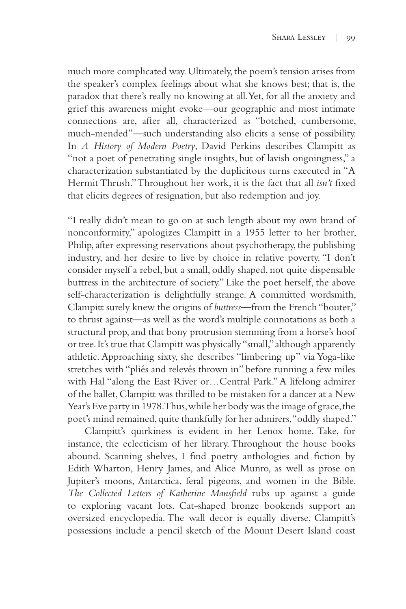much more complicated way. Ultimately, the poem's tension arises from the speaker's complex feelings about what she knows best; that is, the paradox that there's really no knowing at all. Yet, for all the anxiety and grief this awareness might evoke—our geographic and most intimate connections are, after all, characterized as "botched, cumbersome, much-mended"—such understanding also elicits a sense of possibility. In *A History of Modern Poetry*, David Perkins describes Clampitt as "not a poet of penetrating single insights, but of lavish ongoingness," a characterization substantiated by the duplicitous turns executed in "A Hermit Thrush." Throughout her work, it is the fact that all *isn't* fixed that elicits degrees of resignation, but also redemption and joy.

"I really didn't mean to go on at such length about my own brand of nonconformity," apologizes Clampitt in a 1955 letter to her brother, Philip, after expressing reservations about psychotherapy, the publishing industry, and her desire to live by choice in relative poverty. "I don't consider myself a rebel, but a small, oddly shaped, not quite dispensable buttress in the architecture of society." Like the poet herself, the above self-characterization is delightfully strange. A committed wordsmith, Clampitt surely knew the origins of *buttress—*from the French "bouter," to thrust against—as well as the word's multiple connotations as both a structural prop, and that bony protrusion stemming from a horse's hoof or tree. It's true that Clampitt was physically "small," although apparently athletic. Approaching sixty, she describes "limbering up" via Yoga-like stretches with "pliés and relevés thrown in" before running a few miles with Hal "along the East River or…Central Park." A lifelong admirer of the ballet, Clampitt was thrilled to be mistaken for a dancer at a New Year's Eve party in 1978. Thus, while her body was the image of grace, the poet's mind remained, quite thankfully for her admirers, "oddly shaped."

Clampitt's quirkiness is evident in her Lenox home. Take, for instance, the eclecticism of her library. Throughout the house books abound. Scanning shelves, I find poetry anthologies and fiction by Edith Wharton, Henry James, and Alice Munro, as well as prose on Jupiter's moons, Antarctica, feral pigeons, and women in the Bible. *The Collected Letters of Katherine Mansfield* rubs up against a guide to exploring vacant lots. Cat-shaped bronze bookends support an oversized encyclopedia. The wall decor is equally diverse. Clampitt's possessions include a pencil sketch of the Mount Desert Island coast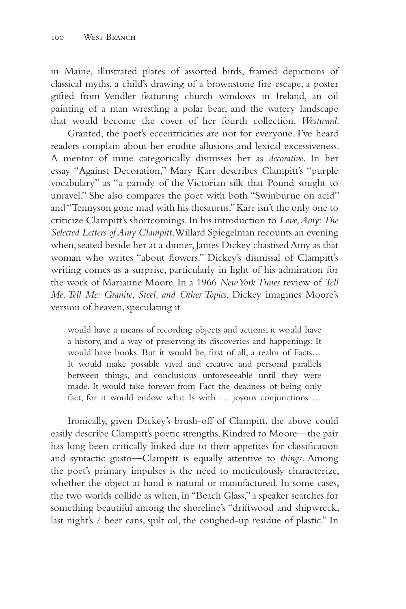in Maine, illustrated plates of assorted birds, framed depictions of classical myths, a child's drawing of a brownstone fire escape, a poster gifted from Vendler featuring church windows in Ireland, an oil painting of a man wrestling a polar bear, and the watery landscape that would become the cover of her fourth collection, *Westward*.

Granted, the poet's eccentricities are not for everyone. I've heard readers complain about her erudite allusions and lexical excessiveness. A mentor of mine categorically dismisses her as *decorative*. In her essay "Against Decoration," Mary Karr describes Clampitt's "purple vocabulary" as "a parody of the Victorian silk that Pound sought to unravel." She also compares the poet with both "Swinburne on acid" and "Tennyson gone mad with his thesaurus." Karr isn't the only one to criticize Clampitt's shortcomings. In his introduction to *Love, Amy*: *The Selected Letters of Amy Clampitt*, Willard Spiegelman recounts an evening when, seated beside her at a dinner, James Dickey chastised Amy as that woman who writes "about flowers." Dickey's dismissal of Clampitt's writing comes as a surprise, particularly in light of his admiration for the work of Marianne Moore. In a 1966 *New York Times* review of *Tell Me, Tell Me: Granite, Steel, and Other Topics*, Dickey imagines Moore's version of heaven, speculating it

would have a means of recording objects and actions; it would have a history, and a way of preserving its discoveries and happenings: It would have books. But it would be, first of all, a realm of Facts… It would make possible vivid and creative and personal parallels between things, and conclusions unforeseeable until they were made. It would take forever from Fact the deadness of being only fact, for it would endow what Is with … joyous conjunctions …

Ironically, given Dickey's brush-off of Clampitt, the above could easily describe Clampitt's poetic strengths. Kindred to Moore—the pair has long been critically linked due to their appetites for classification and syntactic gusto—Clampitt is equally attentive to *things*. Among the poet's primary impulses is the need to meticulously characterize, whether the object at hand is natural or manufactured. In some cases, the two worlds collide as when, in "Beach Glass," a speaker searches for something beautiful among the shoreline's "driftwood and shipwreck, last night's / beer cans, spilt oil, the coughed-up residue of plastic." In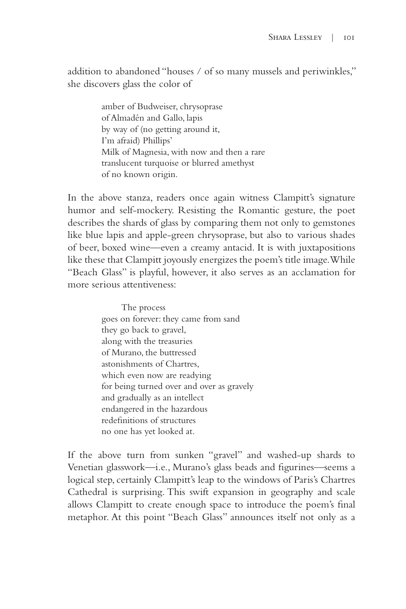addition to abandoned "houses / of so many mussels and periwinkles," she discovers glass the color of

> amber of Budweiser, chrysoprase of Almadén and Gallo, lapis by way of (no getting around it, I'm afraid) Phillips' Milk of Magnesia, with now and then a rare translucent turquoise or blurred amethyst of no known origin.

In the above stanza, readers once again witness Clampitt's signature humor and self-mockery. Resisting the Romantic gesture, the poet describes the shards of glass by comparing them not only to gemstones like blue lapis and apple-green chrysoprase, but also to various shades of beer, boxed wine—even a creamy antacid. It is with juxtapositions like these that Clampitt joyously energizes the poem's title image. While "Beach Glass" is playful, however, it also serves as an acclamation for more serious attentiveness:

> The process goes on forever: they came from sand they go back to gravel, along with the treasuries of Murano, the buttressed astonishments of Chartres, which even now are readying for being turned over and over as gravely and gradually as an intellect endangered in the hazardous redefinitions of structures no one has yet looked at.

If the above turn from sunken "gravel" and washed-up shards to Venetian glasswork—i.e., Murano's glass beads and figurines—seems a logical step, certainly Clampitt's leap to the windows of Paris's Chartres Cathedral is surprising. This swift expansion in geography and scale allows Clampitt to create enough space to introduce the poem's final metaphor. At this point "Beach Glass" announces itself not only as a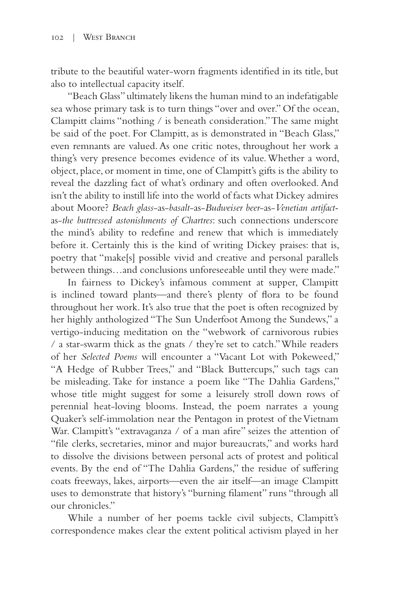tribute to the beautiful water-worn fragments identified in its title, but also to intellectual capacity itself.

"Beach Glass" ultimately likens the human mind to an indefatigable sea whose primary task is to turn things "over and over." Of the ocean, Clampitt claims "nothing / is beneath consideration." The same might be said of the poet. For Clampitt, as is demonstrated in "Beach Glass," even remnants are valued. As one critic notes, throughout her work a thing's very presence becomes evidence of its value. Whether a word, object, place, or moment in time, one of Clampitt's gifts is the ability to reveal the dazzling fact of what's ordinary and often overlooked. And isn't the ability to instill life into the world of facts what Dickey admires about Moore? *Beach glass*-as-*basalt*-as-*Budweiser beer*-as-*Venetian artifact*as-*the buttressed astonishments of Chartres*: such connections underscore the mind's ability to redefine and renew that which is immediately before it. Certainly this is the kind of writing Dickey praises: that is, poetry that "make[s] possible vivid and creative and personal parallels between things…and conclusions unforeseeable until they were made."

In fairness to Dickey's infamous comment at supper, Clampitt is inclined toward plants—and there's plenty of flora to be found throughout her work. It's also true that the poet is often recognized by her highly anthologized "The Sun Underfoot Among the Sundews," a vertigo-inducing meditation on the "webwork of carnivorous rubies / a star-swarm thick as the gnats / they're set to catch." While readers of her *Selected Poems* will encounter a "Vacant Lot with Pokeweed," "A Hedge of Rubber Trees," and "Black Buttercups," such tags can be misleading. Take for instance a poem like "The Dahlia Gardens," whose title might suggest for some a leisurely stroll down rows of perennial heat-loving blooms. Instead, the poem narrates a young Quaker's self-immolation near the Pentagon in protest of the Vietnam War. Clampitt's "extravaganza / of a man afire" seizes the attention of "file clerks, secretaries, minor and major bureaucrats," and works hard to dissolve the divisions between personal acts of protest and political events. By the end of "The Dahlia Gardens," the residue of suffering coats freeways, lakes, airports—even the air itself—an image Clampitt uses to demonstrate that history's "burning filament" runs "through all our chronicles."

While a number of her poems tackle civil subjects, Clampitt's correspondence makes clear the extent political activism played in her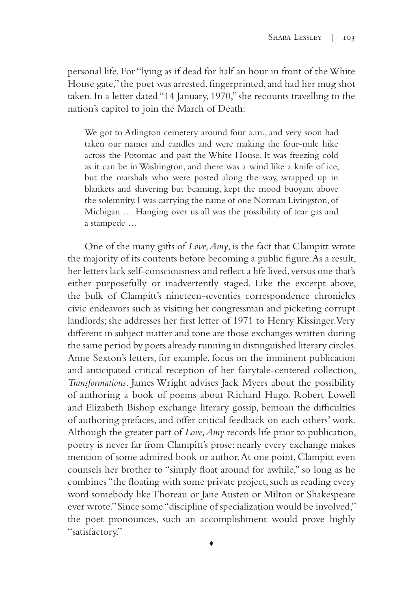personal life. For "lying as if dead for half an hour in front of the White House gate," the poet was arrested, fingerprinted, and had her mug shot taken. In a letter dated "14 January, 1970," she recounts travelling to the nation's capitol to join the March of Death:

We got to Arlington cemetery around four a.m., and very soon had taken our names and candles and were making the four-mile hike across the Potomac and past the White House. It was freezing cold as it can be in Washington, and there was a wind like a knife of ice, but the marshals who were posted along the way, wrapped up in blankets and shivering but beaming, kept the mood buoyant above the solemnity. I was carrying the name of one Norman Livingston, of Michigan … Hanging over us all was the possibility of tear gas and a stampede …

One of the many gifts of *Love, Amy*, is the fact that Clampitt wrote the majority of its contents before becoming a public figure. As a result, her letters lack self-consciousness and reflect a life lived, versus one that's either purposefully or inadvertently staged. Like the excerpt above, the bulk of Clampitt's nineteen-seventies correspondence chronicles civic endeavors such as visiting her congressman and picketing corrupt landlords; she addresses her first letter of 1971 to Henry Kissinger. Very different in subject matter and tone are those exchanges written during the same period by poets already running in distinguished literary circles. Anne Sexton's letters, for example, focus on the imminent publication and anticipated critical reception of her fairytale-centered collection, *Transformations*. James Wright advises Jack Myers about the possibility of authoring a book of poems about Richard Hugo. Robert Lowell and Elizabeth Bishop exchange literary gossip, bemoan the difficulties of authoring prefaces, and offer critical feedback on each others' work. Although the greater part of *Love, Amy* records life prior to publication, poetry is never far from Clampitt's prose: nearly every exchange makes mention of some admired book or author. At one point, Clampitt even counsels her brother to "simply float around for awhile," so long as he combines "the floating with some private project, such as reading every word somebody like Thoreau or Jane Austen or Milton or Shakespeare ever wrote." Since some "discipline of specialization would be involved," the poet pronounces, such an accomplishment would prove highly "satisfactory."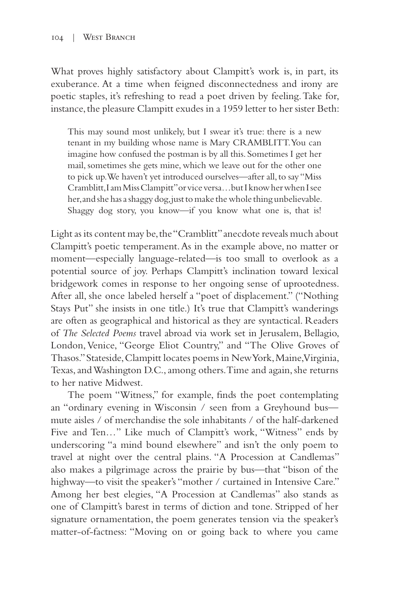What proves highly satisfactory about Clampitt's work is, in part, its exuberance. At a time when feigned disconnectedness and irony are poetic staples, it's refreshing to read a poet driven by feeling. Take for, instance, the pleasure Clampitt exudes in a 1959 letter to her sister Beth:

This may sound most unlikely, but I swear it's true: there is a new tenant in my building whose name is Mary CRAMBLITT. You can imagine how confused the postman is by all this. Sometimes I get her mail, sometimes she gets mine, which we leave out for the other one to pick up. We haven't yet introduced ourselves—after all, to say "Miss Cramblitt, I am Miss Clampitt" or vice versa…but I know her when I see her, and she has a shaggy dog, just to make the whole thing unbelievable. Shaggy dog story, you know—if you know what one is, that is!

Light as its content may be, the "Cramblitt" anecdote reveals much about Clampitt's poetic temperament. As in the example above, no matter or moment—especially language-related—is too small to overlook as a potential source of joy. Perhaps Clampitt's inclination toward lexical bridgework comes in response to her ongoing sense of uprootedness. After all, she once labeled herself a "poet of displacement." ("Nothing Stays Put" she insists in one title.) It's true that Clampitt's wanderings are often as geographical and historical as they are syntactical. Readers of *The Selected Poems* travel abroad via work set in Jerusalem, Bellagio, London, Venice, "George Eliot Country," and "The Olive Groves of Thasos." Stateside, Clampitt locates poems in New York, Maine, Virginia, Texas, and Washington D.C., among others. Time and again, she returns to her native Midwest.

The poem "Witness," for example, finds the poet contemplating an "ordinary evening in Wisconsin / seen from a Greyhound bus mute aisles / of merchandise the sole inhabitants / of the half-darkened Five and Ten…" Like much of Clampitt's work, "Witness" ends by underscoring "a mind bound elsewhere" and isn't the only poem to travel at night over the central plains. "A Procession at Candlemas" also makes a pilgrimage across the prairie by bus—that "bison of the highway—to visit the speaker's "mother / curtained in Intensive Care." Among her best elegies, "A Procession at Candlemas" also stands as one of Clampitt's barest in terms of diction and tone. Stripped of her signature ornamentation, the poem generates tension via the speaker's matter-of-factness: "Moving on or going back to where you came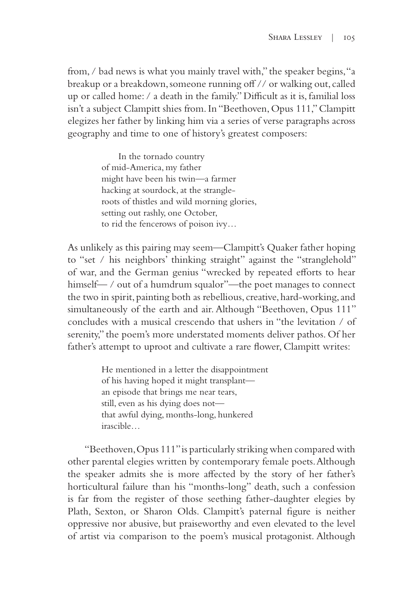from, / bad news is what you mainly travel with," the speaker begins, "a breakup or a breakdown, someone running off // or walking out, called up or called home: / a death in the family." Difficult as it is, familial loss isn't a subject Clampitt shies from. In "Beethoven, Opus 111," Clampitt elegizes her father by linking him via a series of verse paragraphs across geography and time to one of history's greatest composers:

> In the tornado country of mid-America, my father might have been his twin—a farmer hacking at sourdock, at the strangleroots of thistles and wild morning glories, setting out rashly, one October, to rid the fencerows of poison ivy…

As unlikely as this pairing may seem—Clampitt's Quaker father hoping to "set / his neighbors' thinking straight" against the "stranglehold" of war, and the German genius "wrecked by repeated efforts to hear himself— / out of a humdrum squalor"—the poet manages to connect the two in spirit, painting both as rebellious, creative, hard-working, and simultaneously of the earth and air. Although "Beethoven, Opus 111" concludes with a musical crescendo that ushers in "the levitation / of serenity," the poem's more understated moments deliver pathos. Of her father's attempt to uproot and cultivate a rare flower, Clampitt writes:

> He mentioned in a letter the disappointment of his having hoped it might transplant an episode that brings me near tears, still, even as his dying does not that awful dying, months-long, hunkered irascible…

"Beethoven, Opus 111" is particularly striking when compared with other parental elegies written by contemporary female poets. Although the speaker admits she is more affected by the story of her father's horticultural failure than his "months-long" death, such a confession is far from the register of those seething father-daughter elegies by Plath, Sexton, or Sharon Olds. Clampitt's paternal figure is neither oppressive nor abusive, but praiseworthy and even elevated to the level of artist via comparison to the poem's musical protagonist. Although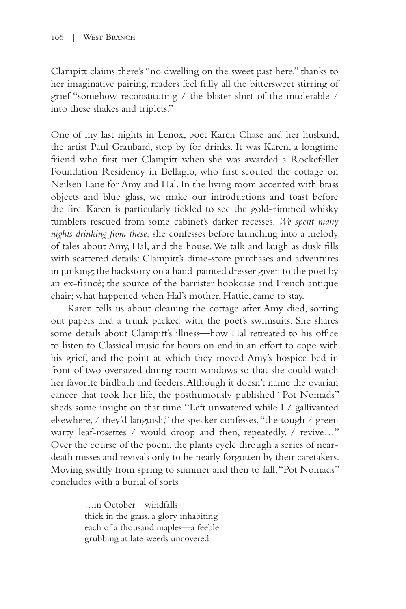Clampitt claims there's "no dwelling on the sweet past here," thanks to her imaginative pairing, readers feel fully all the bittersweet stirring of grief "somehow reconstituting / the blister shirt of the intolerable / into these shakes and triplets."

One of my last nights in Lenox, poet Karen Chase and her husband, the artist Paul Graubard, stop by for drinks. It was Karen, a longtime friend who first met Clampitt when she was awarded a Rockefeller Foundation Residency in Bellagio, who first scouted the cottage on Neilsen Lane for Amy and Hal. In the living room accented with brass objects and blue glass, we make our introductions and toast before the fire. Karen is particularly tickled to see the gold-rimmed whisky tumblers rescued from some cabinet's darker recesses. *We spent many nights drinking from these,* she confesses before launching into a melody of tales about Amy, Hal, and the house. We talk and laugh as dusk fills with scattered details: Clampitt's dime-store purchases and adventures in junking; the backstory on a hand-painted dresser given to the poet by an ex-fiancé; the source of the barrister bookcase and French antique chair; what happened when Hal's mother, Hattie, came to stay.

Karen tells us about cleaning the cottage after Amy died, sorting out papers and a trunk packed with the poet's swimsuits. She shares some details about Clampitt's illness—how Hal retreated to his office to listen to Classical music for hours on end in an effort to cope with his grief, and the point at which they moved Amy's hospice bed in front of two oversized dining room windows so that she could watch her favorite birdbath and feeders. Although it doesn't name the ovarian cancer that took her life, the posthumously published "Pot Nomads" sheds some insight on that time. "Left unwatered while I / gallivanted elsewhere, / they'd languish," the speaker confesses, "the tough / green warty leaf-rosettes / would droop and then, repeatedly, / revive..." Over the course of the poem, the plants cycle through a series of neardeath misses and revivals only to be nearly forgotten by their caretakers. Moving swiftly from spring to summer and then to fall, "Pot Nomads" concludes with a burial of sorts

> …in October—windfalls thick in the grass, a glory inhabiting each of a thousand maples—a feeble grubbing at late weeds uncovered